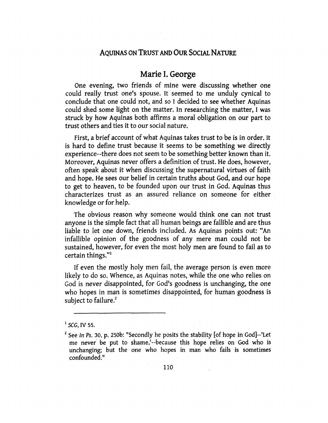# Marie I. George

One evening, two friends of mine were discussing whether one could really trust one's spouse. It seemed to me unduly cynical to conclude that one could not, and so I decided to see whether Aquinas could shed some light on the matter. In researching the matter, I was struck by how Aquinas both affirms a moral obligation on our part to trust others and ties it to our social nature.

First, a brief account of what Aquinas takes trust to be is in order. It is hard to define trust because it seems to be something we directly experience--there does not seem to be something better known than it. Moreover, Aquinas never offers a definition of trust. He does, however, often speak about it when discussing the supernatural virtues of faith and hope. He sees our belief in certain truths about God, and our hope to get to heaven, to be founded upon our trust in God. Aquinas thus characterizes trust as an assured reliance on someone for either knowledge or for help.

The obvious reason why someone would think one can not trust anyone is the simple fact that all human beings are fallible and are thus liable to let one down, friends included. As Aquinas points out: "An infallible opinion of the goodness of any mere man could not be sustained, however, for even the most holy men are found to fail as to certain things."<sup>1</sup>

If even the mostly holy men fail, the average person is even more likely to do so. Whence, as Aquinas notes, while the one who relies on God is never disappointed, for God's goodness is unchanging, the one who hopes in man is sometimes disappointed, for human goodness is subject to failure. $2$ 

<sup>1</sup>*SCG,* IV 55.

 $2$  See In Ps. 30, p. 250b: "Secondly he posits the stability [of hope in God]--'Let me never· be put to shame,'--because this hope relies on God who is unchanging; but the one who hopes in man who fails is sometimes confounded."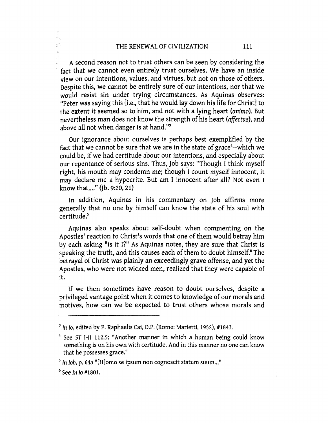A second reason not to trust others can be seen by considering the fact that we cannot even entirely trust ourselves. We have an inside view on our intentions, values, and virtues, but not on those of others. Despite this, we cannot be entirely sure of our intentions, nor that we would resist sin under trying circumstances. As Aquinas observes: "Peter was saying this [i.e., that he would lay down his life for Christ] to the extent it seemed so to him, and not with a lying heart (animo). But nevertheless man does not know the strength of his heart (affectus), and above all not when danger is at hand.''3

Our ignorance about ourselves is perhaps best exemplified by the fact that we cannot be sure that we are in the state of grace<sup>4</sup>--which we could be, if we had certitude about our intentions, and especially about our repentance of serious sins. Thus, job says: "Though I think myself right, his mouth may condemn me; though I count myself innocent, it may declare me a hypocrite. But am I innocent after all? Not even I know that...." (Ib. 9:20, 21)

In addition, Aquinas in his commentary on job affirms more generally that no one by himself can know the state of his soul with certitude.5

Aquinas also speaks about self-doubt when commenting on the Apostles' reaction to Christ's words that one of them would betray him by each asking "is it I?" As Aquinas notes, they are sure that Christ is speaking the truth, and this causes each of them to doubt himself.<sup>6</sup> The betrayal of Christ was plainly an exceedingly grave offense, and yet the Apostles, who were not wicked men, realized that they were capable of it.

If we then sometimes have reason to doubt ourselves, despite a privileged vantage point when it comes to knowledge of our morals and motives, how can we be expected to trust others whose morals and

<sup>&</sup>lt;sup>3</sup> In Io, edited by P. Raphaelis Cai, O.P. (Rome: Marietti, 1952), #1843.

 $4$  See ST I-II 112.5: "Another manner in which a human being could know something is on his own with certitude. And in this manner no one can know that he possesses grace."

<sup>&</sup>lt;sup>5</sup> In *lob*, p. 64a "[H]omo se ipsum non cognoscit statum suum..."

 $<sup>6</sup>$  See In Io #1801.</sup>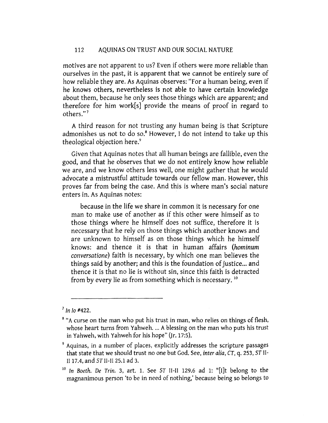motives are not apparent to us? Even if others were more reliable than ourselves in the past, it is apparent that we cannot be entirely sure of how reliable they are. As Aquinas observes: "For a human being, even if he knows others, nevertheless is not able to have certain knowledge about them, because he only sees those things which are apparent; and therefore for him work[s] provide the means of proof in regard to others."<sup>7</sup>

A third reason for not trusting any human being is that Scripture admonishes us not to do so.<sup>8</sup> However, I do not intend to take up this theological objection here.<sup>9</sup>

Given that Aquinas notes that all human beings are fallible, even the good, and that he observes that we do not entirely know how reliable we are, and we know others less well, one might gather that he would advocate a mistrustful attitude towards our fellow man. However, this proves far from being the case. And this is where man's social nature enters in. As Aquinas notes:

because in the life we share in common it is necessary for one man to make use of another as if this other were himself as to those things where he himself does not suffice, therefore it is necessary that he rely on those things which another knows and are unknown to himself as on those things which he himself knows: and thence it is that in human affairs *(hominum conversatione)* faith is necessary, by which one man believes the things said by another; and this is the foundation of justice ... and thence it is that no lie is without sin, since this faith is detracted from by every lie as from something which is necessary. 10

 $<sup>7</sup>$  In Io #422.</sup>

<sup>&</sup>lt;sup>8</sup> "A curse on the man who put his trust in man, who relies on things of flesh, whose heart turns from Yahweh. ... A blessing on the man who puts his trust in Yahweh, with Yahweh for his hope" (Jr. 17:5).

<sup>9</sup> Aquinas, in a number of places, explicitly addresses the scripture passages that state that we should trust no one but God. See, inter alia, CT, q. 253, ST II-II 17.4, and 5TII-Il25.1 ad 3.

 $10$  In Boeth. De Trin. 3, art. 1. See ST II-II 129.6 ad 1: "[I]t belong to the magnanimous person 'to be in need of nothing,' because being so belongs to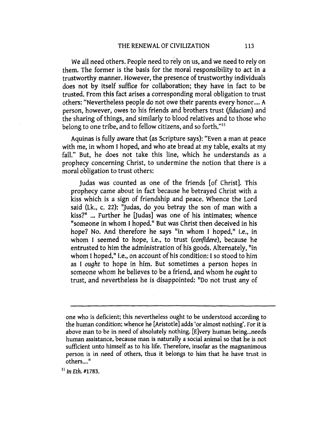We all need others. People need to rely on us, and we need to rely on them. The former is the basis for the moral responsibility to act in a trustworthy manner. However, the presence of trustworthy individuals does not by itself suffice for collaboration; they have in fact to be trusted. From this fact arises a corresponding moral obligation to trust others: "Nevertheless people do not owe their parents every honor .... A person, however, owes to his friends and brothers trust (fiduciam) and the sharing of things, and similarly to blood relatives and to those who belong to one tribe, and to fellow citizens, and so forth."<sup>11</sup>

Aquinas is fully aware that (as Scripture says): "Even a man at peace with me, in whom I hoped, and who ate bread at my table, exalts at my fall." But, he does not take this line, which he understands as a prophecy concerning Christ, to undermine the notion that there is a moral obligation to trust others:

judas was counted as one of the friends [of Christ]. This prophecy came about in fact because he betrayed Christ with a kiss which is a sign of friendship and peace. Whence the Lord said (Lk., c. 22): "Judas, do you betray the son of man with a kiss?" ... Further he [Judas] was one of his intimates; whence "someone in whom I hoped." But was Christ then deceived in his hope? No. And therefore he says "in whom I hoped," i.e., in whom I seemed to hope, i.e., to trust *(confidere),* because he entrusted to him the administration of his goods. Alternately, "in whom I hoped," i.e., on account of his condition: I so stood to him as I *ought* to hope in him. But sometimes a person hopes in someone whom he believes to be a friend, and whom he *ought* to trust, and nevertheless he is disappointed: "Do not trust any of

one who is deficient; this nevertheless ought to be understood according to the human condition; whence he [Aristotle] adds 'or almost nothing'. For it is above man to be in need of absolutely nothing. [E]very human being... needs human assistance, because man is naturally a social animal so that he is not sufficient unto himself as to his life. Therefore, insofar as the magnanimous person is in need of others, thus it belongs to him that he have trust in others....<sup>"</sup>

<sup>11</sup> In *Eth.* #1783.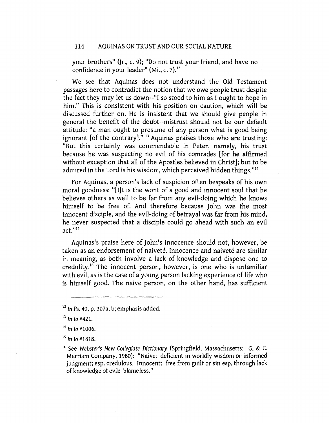your brothers" (Jr., c. 9); "Do not trust your friend, and have no confidence in your leader" (Mi., c. 7).<sup>12</sup>

We see that Aquinas does not understand the Old Testament passages here to contradict the notion that we owe people trust despite the fact they may let us down--"1 so stood to him as I ought to hope in him." This is consistent with his position on caution, which will be discussed further on. He is insistent that we should give people in general the benefit of the doubt--mistrust should not be our default attitude: "a man ought to presume of any person what is good being ignorant [of the contrary]." 13 Aquinas praises those who are trusting: "But this certainly was commendable in Peter, namely, his trust because he was suspecting no evil of his comrades [for he affirmed without exception that all of the Apostles believed in Christ]; but to be admired in the Lord is his wisdom, which perceived hidden things."14

For Aquinas, a person's lack of suspicion often bespeaks of his own moral goodness: "[I]t is the wont of a good and innocent soul that he believes others as well to be far from any evil-doing which he knows himself to be free of. And therefore because john was the most innocent disciple, and the evil-doing of betrayal was far from his mind, he never suspected that a disciple could go ahead with such an evil act. "1s

Aquinas's praise here of John's innocence should not, however, be taken as an endorsement of naiveté. Innocence and naiveté are similar in meaning, as both involve a lack of knowledge and dispose one to credulity.16 The innocent person, however, is one who is unfamiliar with evil, as is the case of a young person lacking experience of life who is himself good. The naive person, on the other hand, has sufficient

 $12$  In Ps. 40, p. 307a, b; emphasis added.

 $13$  In Io #421.

 $14$  In Io #1006.

 $15$  In Io #1818.

<sup>16</sup> See *Webster's New Collegiate Dictionary* (Springfield, Massachusetts: G. & C. Merriam Company, 1980): "Naive: deficient in worldly wisdom or informed judgment; esp. credulous. Innocent: free from guilt or sin esp. through lack of knowledge of evil: blameless."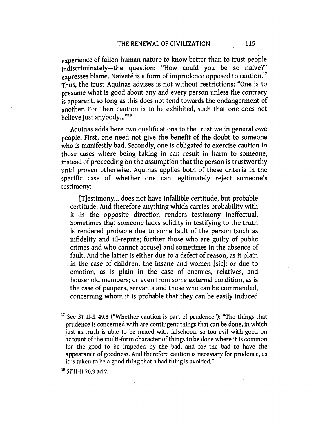experience of fallen human nature to know better than to trust people indiscriminately-the question: "How could you be so naive?" expresses blame. Naiveté is a form of imprudence opposed to caution.<sup>17</sup> Thus, the trust Aquinas advises is not without restrictions: "One is to presume what is good about any and every person unless the contrary is apparent, so long as this does not tend towards the endangerment of another. For then caution is to be exhibited, such that one does not believe just anybody..."<sup>18</sup>

Aquinas adds here two qualifications to the trust we in general owe people. First, one need not give the benefit of the doubt to someone who is manifestly bad. Secondly, one is obligated to exercise caution in those cases where being taking in can result in harm to someone, instead of proceeding on the assumption that the person is trustworthy until proven otherwise. Aquinas applies both of these criteria in the specific case of whether one can legitimately reject someone's testimony:

[T]estimony ... does not have infallible certitude, but probable certitude. And therefore anything which carries probability with it in the opposite direction renders testimony ineffectual. Sometimes that someone lacks solidity in testifying to the truth is rendered probable due to some fault of the person (such as infidelity and ill-repute; further those who are guilty of public crimes and who cannot accuse) and sometimes in the absence of fault. And the latter is either due to a defect of reason, as it plain in the case of children, the insane and women [sic]; or due to emotion, as is plain in the case of enemies, relatives, and household members; or even from some external condition, as is the case of paupers, servants and those who can be commanded, concerning whom it is probable that they can be easily induced

18 sr 11-11 70.3 ad 2.

<sup>17</sup> See *ST* 11-11 49.8 ("Whether caution is part of prudence"): "The things that prudence is concerned with are contingent things that can be done, in which just as truth is able to be mixed with falsehood, so too evil with good on account of the multi-form character of things to be done where it is common for the good to be impeded by the bad, and for the bad to have the appearance of goodness. And therefore caution is necessary for prudence, as it is taken to be a good thing that a bad thing is avoided."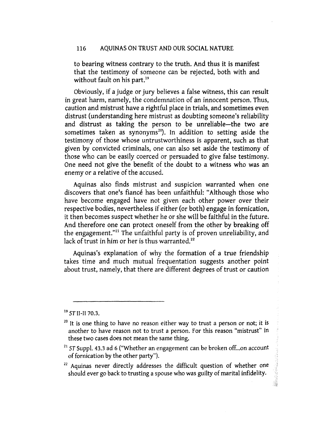to bearing witness contrary to the truth. And thus it is manifest that the testimony of someone can be rejected, both with and without fault on his part.<sup>19</sup>

Obviously, if a judge or jury believes a false witness, this can result in great harm, namely, the condemnation of an innocent person. Thus, caution and mistrust have a rightful place in trials, and sometimes even distrust (understanding here mistrust as doubting someone's reliability and distrust as taking the person to be unreliable-the two are sometimes taken as synonyms<sup>20</sup>). In addition to setting aside the testimony of those whose untrustworthiness is apparent, such as that given by convicted criminals, one can also set aside the testimony of those who can be easily coerced or persuaded to give false testimony. One need not give the benefit of the doubt to a witness who was an enemy or a relative of the accused.

Aquinas also finds mistrust and suspicion warranted when one discovers that one's fiance has been unfaithful: "Although those who have become engaged have not given each other power over their respective bodies, nevertheless if either (or both) engage in fornication, it then becomes suspect whether he or she will be faithful in the future. And therefore one can protect oneself from the other by breaking off the engagement."21 The unfaithful party is of proven unreliability, and lack of trust in him or her is thus warranted.<sup>22</sup>

Aquinas's explanation of why the formation of a true friendship takes time and much mutual frequentation suggests another point about trust, namely, that there are different degrees of trust or caution

 $^{19}$  ST II-II 70.3.

 $20$  It is one thing to have no reason either way to trust a person or not; it is another to have reason not to trust a person. For this reason "mistrust" in these two cases does not mean the same thing.

 $21$  ST Suppl. 43.3 ad 6 ("Whether an engagement can be broken off...on account of fornication by the other party").

<sup>&</sup>lt;sup>22</sup> Aquinas never directly addresses the difficult question of whether one should ever go back to trusting a spouse who was guilty of marital infidelity.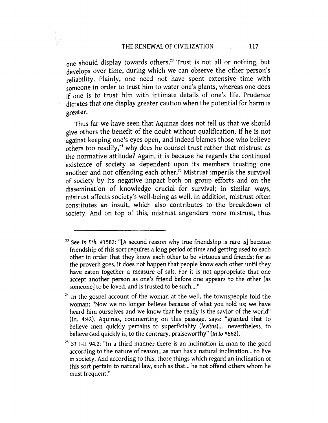one should display towards others.<sup>23</sup> Trust is not all or nothing, but develops over time, during which we can observe the other person's reliability. Plainly, one need not have spent extensive time with someone in order to trust him to water one's plants, whereas one does if one is to trust him with intimate details of one's life. Prudence dictates that one display greater caution when the potential for harm is greater.

Thus far we have seen that Aquinas does not tell us that we should give others the benefit of the doubt without qualification. If he is not against keeping one's eyes open, and indeed blames those who believe others too readily,<sup>24</sup> why does he counsel trust rather that mistrust as the normative attitude? Again, it is because he regards the continued existence of society as dependent upon its members trusting one another and not offending each other.<sup>25</sup> Mistrust imperils the survival of society by its negative impact both on group efforts and on the dissemination of knowledge crucial for survival; in similar ways, mistrust affects society's well-being as well. In addition, mistrust often constitutes an insult, which also contributes to the breakdown of society. And on top of this, mistrust engenders more mistrust, thus

<sup>&</sup>lt;sup>23</sup> See In Eth. #1582: "[A second reason why true friendship is rare is] because friendship of this sort requires a long period of time and getting used to each other in order that they know each other to be virtuous and friends; for as the proverb goes, it does not happen that people know each other until they have eaten together a measure of salt. For it is not appropriate that one accept another person as one's friend before one appears to the other [as someone] to be loved, and is trusted to be such...."

 $24$  In the gospel account of the woman at the well, the townspeople told the woman: "Now we no longer believe because of what you told us; we have heard him ourselves and we know that he really is the savior of the world"  $(n. 4:42)$ . Aquinas, commenting on this passage, says: "granted that to believe men quickly pertains to superficiality *(levitas) ... ,* nevertheless, to believe God quickly is, to the contrary, praiseworthy" (In Io #662).

<sup>&</sup>lt;sup>25</sup> ST I-II 94.2: "In a third manner there is an inclination in man to the good according to the nature of reason...as man has a natural inclination... to live in society. And according to this, those things which regard an inclination of this sort pertain to natural law, such as that. .. he not offend others whom he must frequent."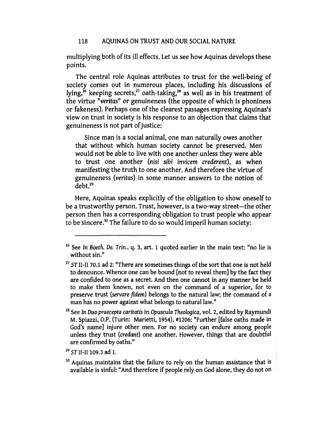multiplying both of its ill effects. Let us see how Aquinas develops these points.

The central role Aquinas attributes to trust for the well-being of society comes out in numerous places, including his discussions of lying,<sup>26</sup> keeping secrets,<sup>27</sup> oath-taking,<sup>28</sup> as well as in his treatment of the virtue *"veritas"* or genuineness (the opposite of which is phoniness or fakeness). Perhaps one of the clearest passages expressing Aquinas's view on trust in society is his response to an objection that claims that genuineness is not part of justice:

Since man is a social animal, one man naturally owes another that without which human society cannot be preserved. Men would not be able to live with one another unless they were able to trust one another *(nisi sibi invicem* crederent), as when manifesting the truth to one another. And therefore the virtue of genuineness *(veritas)* in some manner answers to the notion of debt.<sup>29</sup>

Here, Aquinas speaks explicitly of the obligation to show oneself to be a trustworthy person. Trust, however, is a two-way street-the other person then has a corresponding obligation to trust people who appear to be sincere.<sup>30</sup> The failure to do so would imperil human society:

<sup>26</sup> See *In Boeth. De. Trin.,* q. 3, art. 1 quoted earlier in the main text: "no lie is without sin."

<sup>27</sup>*ST* II-II 70.1 ad 2: "There are sometimes things of the sort that one is not held to denounce. Whence one can be bound [not to reveal them] by the fact they are confided to one as a secret. And then one cannot in any manner be held to make them known, not even on the command of a superior, for to preserve trust *(servare fidem)* belongs to the natural law; the command of a man has no power against what belongs to natural law."

<sup>28</sup> See *In* Duo *praecepta caritatis* in *Opuscula Theologica,* vol. 2, edited by Raymundi M. Spiazzi, O.P. (Turin: Marietti, 1954), #1206: "Further [false oaths made in God's name] injure other men. For no society can endure among people unless they trust *(credant)* one another. However, things that are doubtful are confirmed by oaths."

 $^{29}$  ST II-II 109.3 ad 1.

<sup>&</sup>lt;sup>30</sup> Aquinas maintains that the failure to rely on the human assistance that is available is sinful: "And therefore if people rely on God alone, they do not on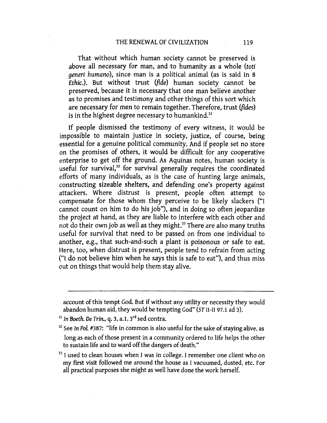That without which human society cannot be preserved is above all necessary for man, and to humanity as a whole *(toti generi humano),* since man is a political animal (as is said in 8 *Ethic.).* But without trust *(fide)* human society cannot be preserved, because it is necessary that one man believe another as to promises and testimony and other things of this sort which are necessary for men to remain together. Therefore, trust *(fides)*  is in the highest degree necessary to humankind.<sup>31</sup>

If people dismissed the testimony of every witness, it would be impossible to maintain justice in society, justice, of course, being essential for a genuine political community. And if people set no store on the promises of others, it would be difficult for any cooperative enterprise to get off the ground. As Aquinas notes, human society is useful for survival,<sup>32</sup> for survival generally requires the coordinated efforts of many individuals, as is the case of hunting large animals, constructing sizeable shelters, and defending one's property against attackers. Where distrust is present, people often attempt to compensate for those whom they perceive to be likely slackers ("I cannot count on him to do his job"), and in doing so often jeopardize the project at hand, as they are liable to interfere with each other and not do their own job as well as they might.<sup>33</sup> There are also many truths useful for survival that need to be passed on from one individual to another, e.g., that such-and-such a plant is poisonous or safe to eat. Here, too, when distrust is present, people tend to refrain from acting ("I do not believe him when he says this is safe to eat"), and thus miss out on things that would help them stay alive.

account of this tempt God. But if without any utility or necessity they would abandon human aid, they would be tempting God'' *(ST* II-II 97.1 ad 3).

<sup>31</sup> In Boeth. De Trin., q. 3, a.1, 3<sup>rd</sup> sed contra.

- <sup>32</sup> See *In Pol.* #387: "life in common is also useful for the sake of staying alive, as long as each of those present in a community ordered to life helps the other to sustain life and to ward off the dangers of death."
- <sup>33</sup> I used to clean houses when I was in college. I remember one client who on my first visit followed me around the house as I vacuumed, dusted, etc. For all practical purposes she might as well have done the work herself.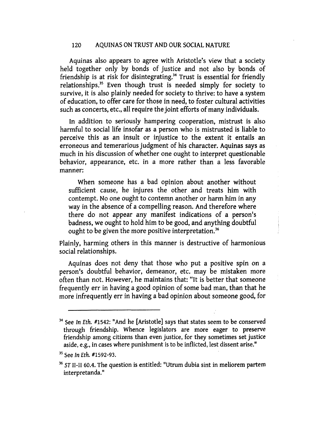Aquinas also appears to agree with Aristotle's view that a society held together only by bonds of justice and not also by bonds of friendship is at risk for disintegrating.<sup>34</sup> Trust is essential for friendly relationships.<sup>35</sup> Even though trust is needed simply for society to survive, it is also plainly needed for society to thrive: to have a system of education, to offer care for those in need, to foster cultural activities such as concerts, etc., all require the joint efforts of many individuals.

In addition to seriously hampering cooperation, mistrust is also harmful to social life insofar as a person who is mistrusted is liable to perceive this as an insult or injustice to the extent it entails an erroneous and temerarious judgment of his character. Aquinas says as much in his discussion of whether one ought to interpret questionable behavior, appearance, etc. in a more rather than a less favorable manner:

When someone has a bad opinion about another without sufficient cause, he injures the other and treats him with contempt. No one ought to contemn another or harm him in any way in the absence of a compelling reason. And therefore where there do not appear any manifest indications of a person's badness, we ought to hold him to be good, and anything doubtful ought to be given the more positive interpretation.<sup>36</sup>

Plainly, harming others in this manner is destructive of harmonious social relationships.

Aquinas does not deny that those who put a positive spin on a person's doubtful behavior, demeanor, etc. may be mistaken more often than not. However, he maintains that: "It is better that someone frequently err in having a good opinion of some bad man, than that he more infrequently err in having a bad opinion about someone good, for

 $34$  See In Eth. #1542: "And he [Aristotle] says that states seem to be conserved through friendship. Whence legislators are more eager to preserve friendship among citizens than even justice, for they sometimes set justice aside, e.g., in cases where punishment is to be inflicted, lest dissent arise."

<sup>&</sup>lt;sup>35</sup> See In Eth. #1592-93.

<sup>36</sup>*ST* 11-11 60.4. The question is entitled: "Utrum dubia sint in meliorem partem interpretanda."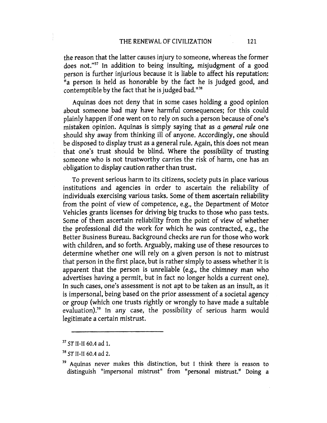the reason that the latter causes injury to someone, whereas the former does not."<sup>37</sup> In addition to being insulting, misjudgment of a good person is further injurious because it is liable to affect his reputation: "a person is held as honorable by the fact he is judged good, and contemptible by the fact that he is judged bad.<sup>1138</sup>

Aquinas does not deny that in some cases holding a good opinion about someone bad may have harmful consequences; for this could plainly happen if one went on to rely on such a person because of one's mistaken opinion. Aquinas is simply saying that as *a general rule* one should shy away from thinking ill of anyone. Accordingly, one should be disposed to display trust as a general rule. Again, this does not mean that one's trust should be blind. Where the possibility of trusting someone who is not trustworthy carries the risk of harm, one has an obligation to display caution rather than trust.

To prevent serious harm to its citizens, society puts in place various institutions and agencies in order to ascertain the reliability of individuals exercising various tasks. Some of them ascertain reliability from the point of view of competence, e.g., the Department of Motor Vehicles grants licenses for driving big trucks to those who pass tests. Some of them ascertain reliability from the point of view of whether the professional did the work for which he was contracted, e.g., the Better Business Bureau. Background checks are run for those who work with children, and so forth. Arguably, making use of these resources to determine whether one will rely on a given person is not to mistrust that person in the first place, but is rather simply to assess whether it is apparent that the person is unreliable (e.g., the chimney man who advertises having a permit, but in fact no longer holds a current one). In such cases, one's assessment is not apt to be taken as an insult, as it is impersonal, being based on the prior assessment of a societal agency or group (which one trusts rightly or wrongly to have made a suitable evaluation).<sup>39</sup> In any case, the possibility of serious harm would legitimate a certain mistrust.

<sup>37</sup>*ST* 11-II 60.4 ad 1.

<sup>38</sup>*ST* II-II 60.4 ad 2.

<sup>39</sup> Aquinas never makes this distinction, but I think there is reason to distinguish "impersonal mistrust" from "personal mistrust." Doing a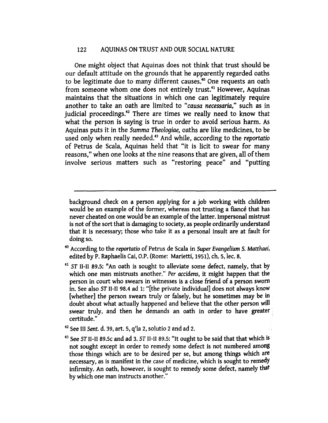One might object that Aquinas does not think that trust should be our default attitude on the grounds that he apparently regarded oaths to be legitimate due to many different causes.40 One requests an oath from someone whom one does not entirely trust.<sup>41</sup> However, Aquinas maintains that the situations in which one can legitimately require another to take an oath are limited to *"causa necessaria,"* such as in judicial proceedings.<sup>42</sup> There are times we really need to know that what the person is saying is true in order to avoid serious harm. As Aquinas puts it in the *Summa Theologiae,* oaths are like medicines, to be used only when really needed.<sup>43</sup>And while, according to the *reportatio*  of Petrus de Scala, Aquinas held that "it is licit to swear for many reasons," when one looks at the nine reasons that are given, all of them involve serious matters such as "restoring peace" and "putting

background check on a person applying for a job working with children would be an example of the former, whereas not trusting a fiancé that has never cheated on one would be an example of the latter. Impersonal mistrust is not of the sort that is damaging to society, as people ordinarily understand that it is necessary; those who take it as a personal insult are at fault for doing so.

- 40 According to the *reportatio* of Petrus de Scala in *Super Evangelium* S. *Matthaei,*  edited by P. Raphaelis Cai, O.P. (Rome: Marietti, 1951), ch. 5, lec. 8.
- <sup>41</sup>*ST* 11-11 89.5: "An oath is sought to alleviate some defect, namely, that by which one man mistrusts another." *Per accidens,* it might happen that the person in court who swears in witnesses is a dose friend of a person sworn in. See also *ST* 11-11 98.4 ad 1: "[the private individual] does not always know [whether] the person swears truly or falsely, but he sometimes may be in doubt about what actually happened and believe that the other person will swear truly, and then he demands an oath in order to have greater certitude."
- 42 See III *Sent.* d. 39, art. 5, q'la 2, solutio 2 arid ad 2.
- 43 See *ST* 11-11 89.5c and ad 3. *ST* II-II 89.5: "It ought to be said that that which is not sought except in order to remedy some defect is not numbered among those things which are to be desired per se, but among things which are necessary, as is manifest in the case of medicine, which is sought to remedy infirmity. An oath, however, is sought to remedy some defect, namely that by which one man instructs another."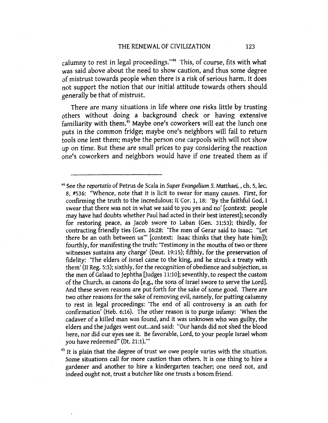calumny to rest in legal proceedings."44 This, of course, fits with what was said above about the need to show caution, and thus some degree of mistrust towards people when there is a risk of serious harm. It does not support the notion that our initial attitude towards others should generally be that of mistrust.

There are many situations in life where one risks little by trusting others without doing a background check or having extensive familiarity with them.<sup>45</sup> Maybe one's coworkers will eat the lunch one puts in the common fridge; maybe one's neighbors will fail to return tools one lent them; maybe the person one carpools with will not show up on time. But these are small prices to pay considering the reaction one's coworkers and neighbors would have if one treated them as if

 $45$  It is plain that the degree of trust we owe people varies with the situation. Some situations call for more caution than others. It is one thing to hire a gardener and another to hire a kindergarten teacher; one need not, and indeed ought not, trust a butcher like one trusts a bosom friend.

<sup>44</sup>See the *reportatio* of Petrus de Scala in *Super Evangelium 5. Matthaei,* , ch. 5, lee. 8, #536: "Whence, note that it is licit to swear for many causes. First, for confirming the truth to the incredulous; II Cor. 1, 18: 'By the faithful God, I swear that there was not in what we said to you yes and no' [context: people may have had doubts whether Paul had acted in their best interest]; secondly for restoring peace, as jacob swore to Laban (Gen. 31:53); thirdly, for contracting friendly ties (Gen. 26:28: 'The men of Gerar said to Isaac: "Let there be an oath between us"' [context: Isaac thinks that they hate him]); fourthly, for manifesting the truth: 'Testimony in the mouths of two or three witnesses sustains any charge' (Deut. 19:15); fifthly, for the preservation of fidelity: 'The elders of Israel came to the king, and he struck a treaty with them' (II Reg. 5:3); sixthly, for the recognition of obedience and subjection, as the men of Galaad to Jephtha [Judges 11:10]; seventhly, to respect the custom of the Church, as canons do [e.g., the sons of Israel swore to serve the Lord]. And these seven reasons are put forth for the sake of some good. There are two other reasons for the sake of removing evil, namely, for putting calumny to rest in legal proceedings: 'The end of all controversy is an oath for confirmation' (Heb. 6:16). The other reason is to purge infamy: 'When the cadaver of a killed man was found, and it was unknown who was guilty, the elders and the judges went out ... and said: "Our hands did not shed the blood here, nor did our eyes see it. Be favorable, Lord, to your people Israel whom you have redeemed" (Dt. 21:1)."'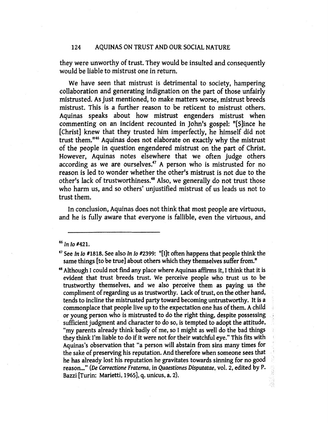they were unworthy of trust. They would be insulted and consequently would be liable to mistrust one in return.

We have seen that mistrust is detrimental to society, hampering collaboration and generating indignation on the part of those unfairly mistrusted. As just mentioned, to make matters worse, mistrust breeds mistrust. This is a further reason to be reticent to mistrust others. Aquinas speaks about how mistrust engenders mistrust when commenting on an incident recounted in John's gospel: "[S]ince he [Christ] knew that they trusted him imperfectly, he himself did not trust them.<sup>1146</sup> Aquinas does not elaborate on exactly why the mistrust of the people in question engendered mistrust on the part of Christ. However, Aquinas notes elsewhere that we often judge others according as we are ourselves.<sup>47</sup> A person who is mistrusted for no reason is led to wonder whether the other's mistrust is not due to the other's lack of trustworthiness.48 Also, we generally do not trust those who harm us, and so others' unjustified mistrust of us leads us not to trust them.

In conclusion, Aquinas does not think that most people are virtuous, and he is fully aware that everyone is fallible, even the virtuous, and

 $46$  In Io #421.

<sup>&</sup>lt;sup>47</sup> See In Io #1818. See also In Io #2399: "[I]t often happens that people think the same things [to be true] about others which they themselves suffer from."

<sup>48</sup>Although I could not fmd any place where Aquinas affirms it, I think that it is evident that trust breeds trust. We perceive people who trust us to be trustworthy themselves, and we also perceive them as paying us the compliment of regarding us as trustworthy. Lack of trust, on the other hand, tends to incline the mistrusted party toward becoming untrustworthy. It is a commonplace that people live up to the expectation one has of them. A child or young person who is mistrusted to do the right thing, despite possessing , sufficient judgment and character to do so, is tempted to adopt the attitude, "my parents already think badly of me, so I might as well do the bad things they think I'm liable to do if it were not for their watchful eye." This fits with Aquinas's observation that "a person will abstain from sins many times for the sake of preserving his reputation. And therefore when someone sees that he has already lost his reputation he gravitates towards sinning for no good reason..." (De Correctione Fraterna, in Quaestiones Disputatae, vol. 2, edited by P. Bazzi [Turin: Marietti, 1965], q. unicus, a. 2).